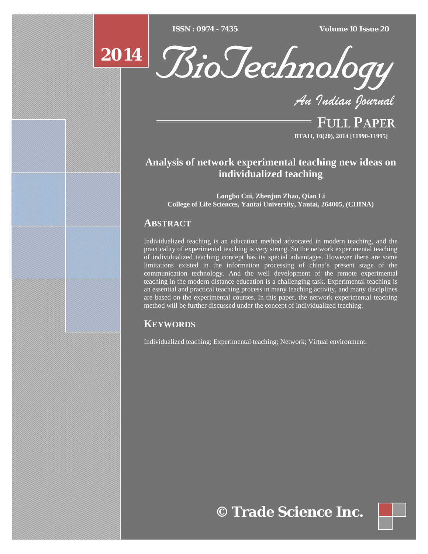$ISSN : 0974 - 7435$ 

*ISSN : 0974 - 7435 Volume 10 Issue 20*



*An Indian Journal*

FULL PAPER **BTAIJ, 10(20), 2014 [11990-11995]**

# **Analysis of network experimental teaching new ideas on individualized teaching**

**Longbo Cui, Zhenjun Zhao, Qian Li College of Life Sciences, Yantai University, Yantai, 264005, (CHINA)**

## **ABSTRACT**

**2014**

Individualized teaching is an education method advocated in modern teaching, and the practicality of experimental teaching is very strong. So the network experimental teaching of individualized teaching concept has its special advantages. However there are some limitations existed in the information processing of china's present stage of the communication technology. And the well development of the remote experimental teaching in the modern distance education is a challenging task. Experimental teaching is an essential and practical teaching process in many teaching activity, and many disciplines are based on the experimental courses. In this paper, the network experimental teaching method will be further discussed under the concept of individualized teaching.

## **KEYWORDS**

Individualized teaching; Experimental teaching; Network; Virtual environment.

**© Trade Science Inc.**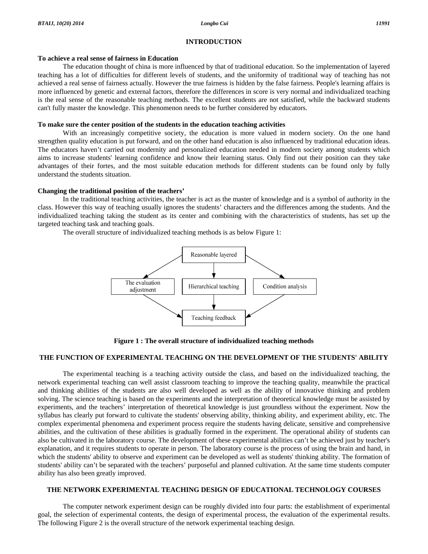#### **INTRODUCTION**

#### **To achieve a real sense of fairness in Education**

 The education thought of china is more influenced by that of traditional education. So the implementation of layered teaching has a lot of difficulties for different levels of students, and the uniformity of traditional way of teaching has not achieved a real sense of fairness actually. However the true fairness is hidden by the false fairness. People's learning affairs is more influenced by genetic and external factors, therefore the differences in score is very normal and individualized teaching is the real sense of the reasonable teaching methods. The excellent students are not satisfied, while the backward students can't fully master the knowledge. This phenomenon needs to be further considered by educators.

#### **To make sure the center position of the students in the education teaching activities**

With an increasingly competitive society, the education is more valued in modern society. On the one hand strengthen quality education is put forward, and on the other hand education is also influenced by traditional education ideas. The educators haven't carried out modernity and personalized education needed in modern society among students which aims to increase students' learning confidence and know their learning status. Only find out their position can they take advantages of their fortes, and the most suitable education methods for different students can be found only by fully understand the students situation.

#### **Changing the traditional position of the teachers'**

 In the traditional teaching activities, the teacher is act as the master of knowledge and is a symbol of authority in the class. However this way of teaching usually ignores the students' characters and the differences among the students. And the individualized teaching taking the student as its center and combining with the characteristics of students, has set up the targeted teaching task and teaching goals.

The overall structure of individualized teaching methods is as below Figure 1:



**Figure 1 : The overall structure of individualized teaching methods** 

### **THE FUNCTION OF EXPERIMENTAL TEACHING ON THE DEVELOPMENT OF THE STUDENTS' ABILITY**

 The experimental teaching is a teaching activity outside the class, and based on the individualized teaching, the network experimental teaching can well assist classroom teaching to improve the teaching quality, meanwhile the practical and thinking abilities of the students are also well developed as well as the ability of innovative thinking and problem solving. The science teaching is based on the experiments and the interpretation of theoretical knowledge must be assisted by experiments, and the teachers' interpretation of theoretical knowledge is just groundless without the experiment. Now the syllabus has clearly put forward to cultivate the students' observing ability, thinking ability, and experiment ability, etc. The complex experimental phenomena and experiment process require the students having delicate, sensitive and comprehensive abilities, and the cultivation of these abilities is gradually formed in the experiment. The operational ability of students can also be cultivated in the laboratory course. The development of these experimental abilities can't be achieved just by teacher's explanation, and it requires students to operate in person. The laboratory course is the process of using the brain and hand, in which the students' ability to observe and experiment can be developed as well as students' thinking ability. The formation of students' ability can't be separated with the teachers' purposeful and planned cultivation. At the same time students computer ability has also been greatly improved.

#### **THE NETWORK EXPERIMENTAL TEACHING DESIGN OF EDUCATIONAL TECHNOLOGY COURSES**

 The computer network experiment design can be roughly divided into four parts: the establishment of experimental goal, the selection of experimental contents, the design of experimental process, the evaluation of the experimental results. The following Figure 2 is the overall structure of the network experimental teaching design.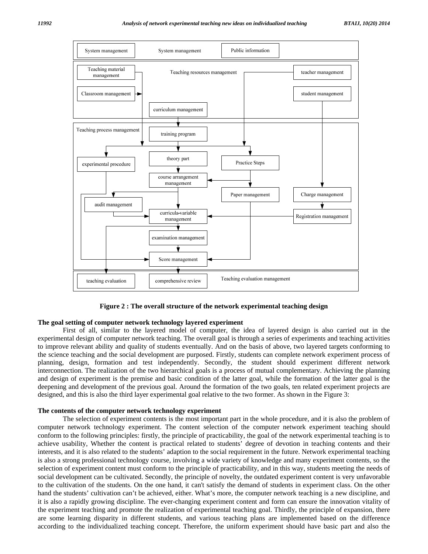

**Figure 2 : The overall structure of the network experimental teaching design** 

#### **The goal setting of computer network technology layered experiment**

 First of all, similar to the layered model of computer, the idea of layered design is also carried out in the experimental design of computer network teaching. The overall goal is through a series of experiments and teaching activities to improve relevant ability and quality of students eventually. And on the basis of above, two layered targets conforming to the science teaching and the social development are purposed. Firstly, students can complete network experiment process of planning, design, formation and test independently. Secondly, the student should experiment different network interconnection. The realization of the two hierarchical goals is a process of mutual complementary. Achieving the planning and design of experiment is the premise and basic condition of the latter goal, while the formation of the latter goal is the deepening and development of the previous goal. Around the formation of the two goals, ten related experiment projects are designed, and this is also the third layer experimental goal relative to the two former. As shown in the Figure 3:

#### **The contents of the computer network technology experiment**

 The selection of experiment contents is the most important part in the whole procedure, and it is also the problem of computer network technology experiment. The content selection of the computer network experiment teaching should conform to the following principles: firstly, the principle of practicability, the goal of the network experimental teaching is to achieve usability, Whether the content is practical related to students' degree of devotion in teaching contents and their interests, and it is also related to the students' adaption to the social requirement in the future. Network experimental teaching is also a strong professional technology course, involving a wide variety of knowledge and many experiment contents, so the selection of experiment content must conform to the principle of practicability, and in this way, students meeting the needs of social development can be cultivated. Secondly, the principle of novelty, the outdated experiment content is very unfavorable to the cultivation of the students. On the one hand, it can't satisfy the demand of students in experiment class. On the other hand the students' cultivation can't be achieved, either. What's more, the computer network teaching is a new discipline, and it is also a rapidly growing discipline. The ever-changing experiment content and form can ensure the innovation vitality of the experiment teaching and promote the realization of experimental teaching goal. Thirdly, the principle of expansion, there are some learning disparity in different students, and various teaching plans are implemented based on the difference according to the individualized teaching concept. Therefore, the uniform experiment should have basic part and also the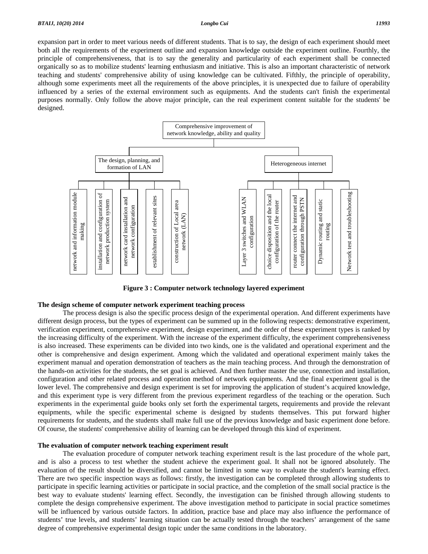expansion part in order to meet various needs of different students. That is to say, the design of each experiment should meet both all the requirements of the experiment outline and expansion knowledge outside the experiment outline. Fourthly, the principle of comprehensiveness, that is to say the generality and particularity of each experiment shall be connected organically so as to mobilize students' learning enthusiasm and initiative. This is also an important characteristic of network teaching and students' comprehensive ability of using knowledge can be cultivated. Fifthly, the principle of operability, although some experiments meet all the requirements of the above principles, it is unexpected due to failure of operability influenced by a series of the external environment such as equipments. And the students can't finish the experimental purposes normally. Only follow the above major principle, can the real experiment content suitable for the students' be designed.



**Figure 3 : Computer network technology layered experiment** 

#### **The design scheme of computer network experiment teaching process**

 The process design is also the specific process design of the experimental operation. And different experiments have different design process, but the types of experiment can be summed up in the following respects: demonstrative experiment, verification experiment, comprehensive experiment, design experiment, and the order of these experiment types is ranked by the increasing difficulty of the experiment. With the increase of the experiment difficulty, the experiment comprehensiveness is also increased. These experiments can be divided into two kinds, one is the validated and operational experiment and the other is comprehensive and design experiment. Among which the validated and operational experiment mainly takes the experiment manual and operation demonstration of teachers as the main teaching process. And through the demonstration of the hands-on activities for the students, the set goal is achieved. And then further master the use, connection and installation, configuration and other related process and operation method of network equipments. And the final experiment goal is the lower level. The comprehensive and design experiment is set for improving the application of student's acquired knowledge, and this experiment type is very different from the previous experiment regardless of the teaching or the operation. Such experiments in the experimental guide books only set forth the experimental targets, requirements and provide the relevant equipments, while the specific experimental scheme is designed by students themselves. This put forward higher requirements for students, and the students shall make full use of the previous knowledge and basic experiment done before. Of course, the students' comprehensive ability of learning can be developed through this kind of experiment.

#### **The evaluation of computer network teaching experiment result**

 The evaluation procedure of computer network teaching experiment result is the last procedure of the whole part, and is also a process to test whether the student achieve the experiment goal. It shall not be ignored absolutely. The evaluation of the result should be diversified, and cannot be limited in some way to evaluate the student's learning effect. There are two specific inspection ways as follows: firstly, the investigation can be completed through allowing students to participate in specific learning activities or participate in social practice, and the completion of the small social practice is the best way to evaluate students' learning effect. Secondly, the investigation can be finished through allowing students to complete the design comprehensive experiment. The above investigation method to participate in social practice sometimes will be influenced by various outside factors. In addition, practice base and place may also influence the performance of students' true levels, and students' learning situation can be actually tested through the teachers' arrangement of the same degree of comprehensive experimental design topic under the same conditions in the laboratory.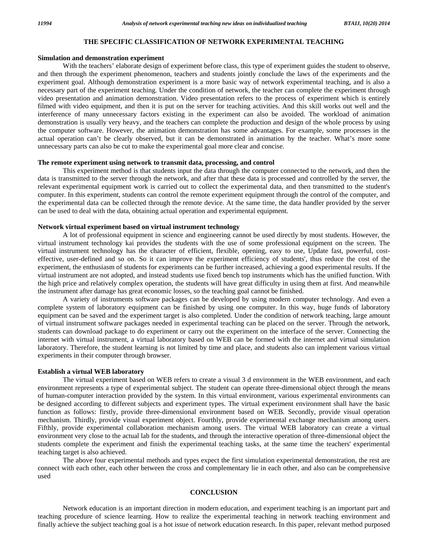#### **THE SPECIFIC CLASSIFICATION OF NETWORK EXPERIMENTAL TEACHING**

#### **Simulation and demonstration experiment**

 With the teachers' elaborate design of experiment before class, this type of experiment guides the student to observe, and then through the experiment phenomenon, teachers and students jointly conclude the laws of the experiments and the experiment goal. Although demonstration experiment is a more basic way of network experimental teaching, and is also a necessary part of the experiment teaching. Under the condition of network, the teacher can complete the experiment through video presentation and animation demonstration. Video presentation refers to the process of experiment which is entirely filmed with video equipment, and then it is put on the server for teaching activities. And this skill works out well and the interference of many unnecessary factors existing in the experiment can also be avoided. The workload of animation demonstration is usually very heavy, and the teachers can complete the production and design of the whole process by using the computer software. However, the animation demonstration has some advantages. For example, some processes in the actual operation can't be clearly observed, but it can be demonstrated in animation by the teacher. What's more some unnecessary parts can also be cut to make the experimental goal more clear and concise.

#### **The remote experiment using network to transmit data, processing, and control**

 This experiment method is that students input the data through the computer connected to the network, and then the data is transmitted to the server through the network, and after that these data is processed and controlled by the server, the relevant experimental equipment work is carried out to collect the experimental data, and then transmitted to the student's computer. In this experiment, students can control the remote experiment equipment through the control of the computer, and the experimental data can be collected through the remote device. At the same time, the data handler provided by the server can be used to deal with the data, obtaining actual operation and experimental equipment.

#### **Network virtual experiment based on virtual instrument technology**

 A lot of professional equipment in science and engineering cannot be used directly by most students. However, the virtual instrument technology kai provides the students with the use of some professional equipment on the screen. The virtual instrument technology has the character of efficient, flexible, opening, easy to use, Update fast, powerful, costeffective, user-defined and so on. So it can improve the experiment efficiency of students', thus reduce the cost of the experiment, the enthusiasm of students for experiments can be further increased, achieving a good experimental results. If the virtual instrument are not adopted, and instead students use fixed bench top instruments which has the unified function. With the high price and relatively complex operation, the students will have great difficulty in using them at first. And meanwhile the instrument after damage has great economic losses, so the teaching goal cannot be finished.

 A variety of instruments software packages can be developed by using modern computer technology. And even a complete system of laboratory equipment can be finished by using one computer. In this way, huge funds of laboratory equipment can be saved and the experiment target is also completed. Under the condition of network teaching, large amount of virtual instrument software packages needed in experimental teaching can be placed on the server. Through the network, students can download package to do experiment or carry out the experiment on the interface of the server. Connecting the internet with virtual instrument, a virtual laboratory based on WEB can be formed with the internet and virtual simulation laboratory. Therefore, the student learning is not limited by time and place, and students also can implement various virtual experiments in their computer through browser.

#### **Establish a virtual WEB laboratory**

 The virtual experiment based on WEB refers to create a visual 3 d environment in the WEB environment, and each environment represents a type of experimental subject. The student can operate three-dimensional object through the means of human-computer interaction provided by the system. In this virtual environment, various experimental environments can be designed according to different subjects and experiment types. The virtual experiment environment shall have the basic function as follows: firstly, provide three-dimensional environment based on WEB. Secondly, provide visual operation mechanism. Thirdly, provide visual experiment object. Fourthly, provide experimental exchange mechanism among users. Fifthly, provide experimental collaboration mechanism among users. The virtual WEB laboratory can create a virtual environment very close to the actual lab for the students, and through the interactive operation of three-dimensional object the students complete the experiment and finish the experimental teaching tasks, at the same time the teachers' experimental teaching target is also achieved.

 The above four experimental methods and types expect the first simulation experimental demonstration, the rest are connect with each other, each other between the cross and complementary lie in each other, and also can be comprehensive used

#### **CONCLUSION**

 Network education is an important direction in modern education, and experiment teaching is an important part and teaching procedure of science learning. How to realize the experimental teaching in network teaching environment and finally achieve the subject teaching goal is a hot issue of network education research. In this paper, relevant method purposed